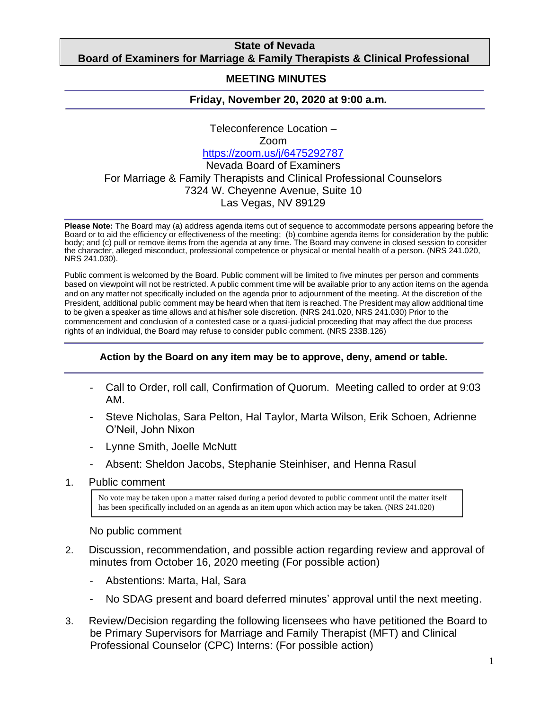# **State of Nevada Board of Examiners for Marriage & Family Therapists & Clinical Professional**

#### **Counselors MEETING MINUTES**

# **Friday, November 20, 2020 at 9:00 a.m***.*

Teleconference Location – Zoom <https://zoom.us/j/6475292787> Nevada Board of Examiners For Marriage & Family Therapists and Clinical Professional Counselors 7324 W. Cheyenne Avenue, Suite 10 Las Vegas, NV 89129

**Please Note:** The Board may (a) address agenda items out of sequence to accommodate persons appearing before the Board or to aid the efficiency or effectiveness of the meeting; (b) combine agenda items for consideration by the public body; and (c) pull or remove items from the agenda at any time. The Board may convene in closed session to consider the character, alleged misconduct, professional competence or physical or mental health of a person. (NRS 241.020, NRS 241.030).

Public comment is welcomed by the Board. Public comment will be limited to five minutes per person and comments based on viewpoint will not be restricted. A public comment time will be available prior to any action items on the agenda and on any matter not specifically included on the agenda prior to adjournment of the meeting. At the discretion of the President, additional public comment may be heard when that item is reached. The President may allow additional time to be given a speaker as time allows and at his/her sole discretion. (NRS 241.020, NRS 241.030) Prior to the commencement and conclusion of a contested case or a quasi-judicial proceeding that may affect the due process rights of an individual, the Board may refuse to consider public comment. (NRS 233B.126)

# **Action by the Board on any item may be to approve, deny, amend or table.**

- Call to Order, roll call, Confirmation of Quorum. Meeting called to order at 9:03 AM.
- Steve Nicholas, Sara Pelton, Hal Taylor, Marta Wilson, Erik Schoen, Adrienne O'Neil, John Nixon
- Lynne Smith, Joelle McNutt
- Absent: Sheldon Jacobs, Stephanie Steinhiser, and Henna Rasul
- 1. Public comment

No vote may be taken upon a matter raised during a period devoted to public comment until the matter itself has been specifically included on an agenda as an item upon which action may be taken. (NRS 241.020)

### No public comment

- 2. Discussion, recommendation, and possible action regarding review and approval of minutes from October 16, 2020 meeting (For possible action)
	- Abstentions: Marta, Hal, Sara
	- No SDAG present and board deferred minutes' approval until the next meeting.
- 3. Review/Decision regarding the following licensees who have petitioned the Board to be Primary Supervisors for Marriage and Family Therapist (MFT) and Clinical Professional Counselor (CPC) Interns: (For possible action)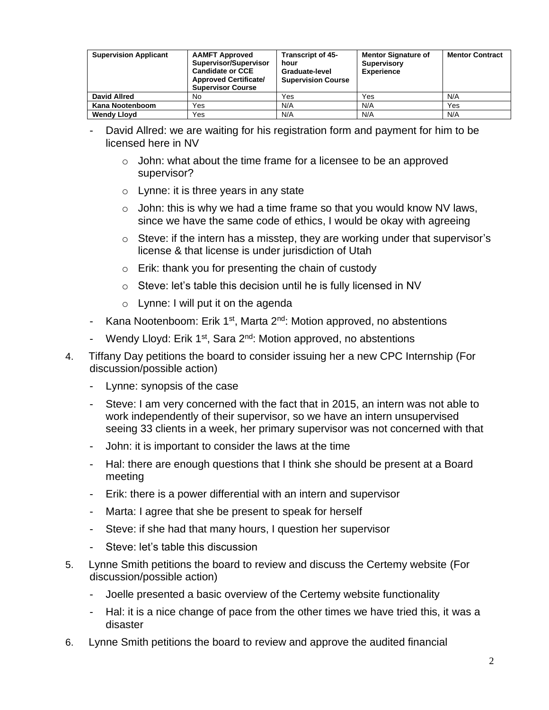| <b>Supervision Applicant</b> | <b>AAMFT Approved</b><br>Supervisor/Supervisor<br><b>Candidate or CCE</b><br><b>Approved Certificate/</b><br><b>Supervisor Course</b> | <b>Transcript of 45-</b><br>hour<br>Graduate-level<br><b>Supervision Course</b> | <b>Mentor Signature of</b><br><b>Supervisory</b><br><b>Experience</b> | <b>Mentor Contract</b> |
|------------------------------|---------------------------------------------------------------------------------------------------------------------------------------|---------------------------------------------------------------------------------|-----------------------------------------------------------------------|------------------------|
| <b>David Allred</b>          | No                                                                                                                                    | Yes                                                                             | Yes                                                                   | N/A                    |
| Kana Nootenboom              | Yes                                                                                                                                   | N/A                                                                             | N/A                                                                   | Yes                    |
| <b>Wendy Lloyd</b>           | Yes                                                                                                                                   | N/A                                                                             | N/A                                                                   | N/A                    |

- David Allred: we are waiting for his registration form and payment for him to be licensed here in NV
	- $\circ$  John: what about the time frame for a licensee to be an approved supervisor?
	- o Lynne: it is three years in any state
	- $\circ$  John: this is why we had a time frame so that you would know NV laws, since we have the same code of ethics, I would be okay with agreeing
	- o Steve: if the intern has a misstep, they are working under that supervisor's license & that license is under jurisdiction of Utah
	- o Erik: thank you for presenting the chain of custody
	- o Steve: let's table this decision until he is fully licensed in NV
	- $\circ$  Lynne: I will put it on the agenda
- Kana Nootenboom: Erik 1<sup>st</sup>, Marta 2<sup>nd</sup>: Motion approved, no abstentions
- Wendy Lloyd: Erik 1<sup>st</sup>, Sara 2<sup>nd</sup>: Motion approved, no abstentions
- 4. Tiffany Day petitions the board to consider issuing her a new CPC Internship (For discussion/possible action)
	- Lynne: synopsis of the case
	- Steve: I am very concerned with the fact that in 2015, an intern was not able to work independently of their supervisor, so we have an intern unsupervised seeing 33 clients in a week, her primary supervisor was not concerned with that
	- John: it is important to consider the laws at the time
	- Hal: there are enough questions that I think she should be present at a Board meeting
	- Erik: there is a power differential with an intern and supervisor
	- Marta: I agree that she be present to speak for herself
	- Steve: if she had that many hours, I question her supervisor
	- Steve: let's table this discussion
- 5. Lynne Smith petitions the board to review and discuss the Certemy website (For discussion/possible action)
	- Joelle presented a basic overview of the Certemy website functionality
	- Hal: it is a nice change of pace from the other times we have tried this, it was a disaster
- 6. Lynne Smith petitions the board to review and approve the audited financial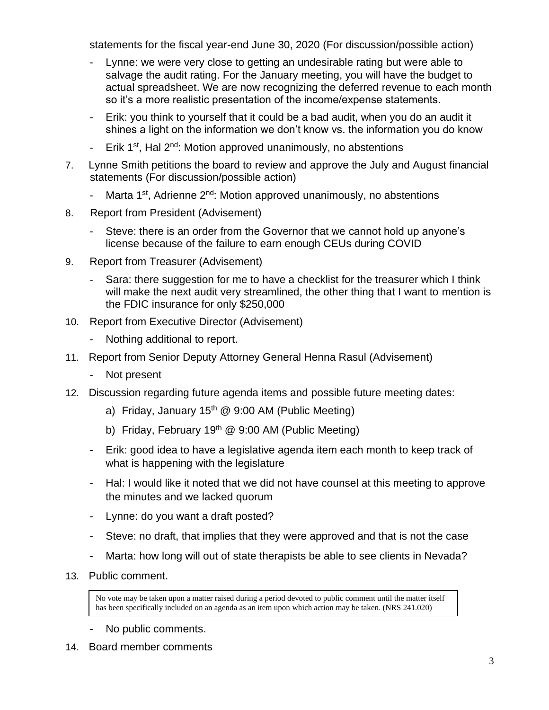statements for the fiscal year-end June 30, 2020 (For discussion/possible action)

- Lynne: we were very close to getting an undesirable rating but were able to salvage the audit rating. For the January meeting, you will have the budget to actual spreadsheet. We are now recognizing the deferred revenue to each month so it's a more realistic presentation of the income/expense statements.
- Erik: you think to yourself that it could be a bad audit, when you do an audit it shines a light on the information we don't know vs. the information you do know
- Erik 1<sup>st</sup>, Hal 2<sup>nd</sup>: Motion approved unanimously, no abstentions
- 7. Lynne Smith petitions the board to review and approve the July and August financial statements (For discussion/possible action)
	- Marta 1<sup>st</sup>, Adrienne 2<sup>nd</sup>: Motion approved unanimously, no abstentions
- 8. Report from President (Advisement)
	- Steve: there is an order from the Governor that we cannot hold up anyone's license because of the failure to earn enough CEUs during COVID
- 9. Report from Treasurer (Advisement)
	- Sara: there suggestion for me to have a checklist for the treasurer which I think will make the next audit very streamlined, the other thing that I want to mention is the FDIC insurance for only \$250,000
- 10. Report from Executive Director (Advisement)
	- Nothing additional to report.
- 11. Report from Senior Deputy Attorney General Henna Rasul (Advisement)
	- Not present
- 12. Discussion regarding future agenda items and possible future meeting dates:
	- a) Friday, January  $15<sup>th</sup>$  @ 9:00 AM (Public Meeting)
	- b) Friday, February 19<sup>th</sup> @ 9:00 AM (Public Meeting)
	- Erik: good idea to have a legislative agenda item each month to keep track of what is happening with the legislature
	- Hal: I would like it noted that we did not have counsel at this meeting to approve the minutes and we lacked quorum
	- Lynne: do you want a draft posted?
	- Steve: no draft, that implies that they were approved and that is not the case
	- Marta: how long will out of state therapists be able to see clients in Nevada?
- 13. Public comment.

No vote may be taken upon a matter raised during a period devoted to public comment until the matter itself has been specifically included on an agenda as an item upon which action may be taken. (NRS 241.020)

- No public comments.
- 14. Board member comments